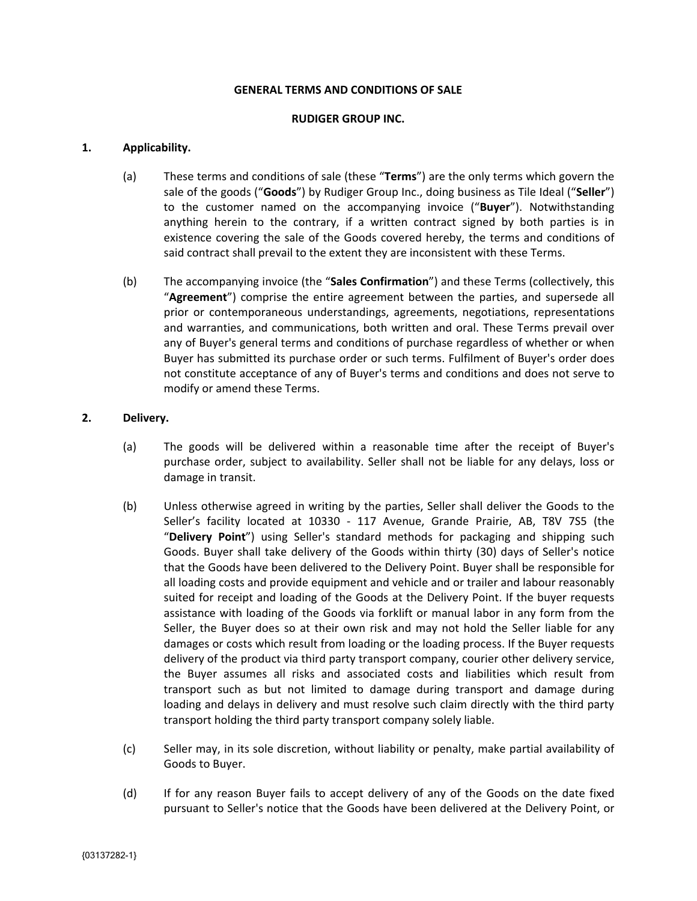#### **GENERAL TERMS AND CONDITIONS OF SALE**

#### **RUDIGER GROUP INC.**

#### **1. Applicability.**

- (a) These terms and conditions of sale (these "**Terms**") are the only terms which govern the sale of the goods ("**Goods**") by Rudiger Group Inc., doing business as Tile Ideal ("**Seller**") to the customer named on the accompanying invoice ("**Buyer**"). Notwithstanding anything herein to the contrary, if a written contract signed by both parties is in existence covering the sale of the Goods covered hereby, the terms and conditions of said contract shall prevail to the extent they are inconsistent with these Terms.
- (b) The accompanying invoice (the "**Sales Confirmation**") and these Terms (collectively, this "**Agreement**") comprise the entire agreement between the parties, and supersede all prior or contemporaneous understandings, agreements, negotiations, representations and warranties, and communications, both written and oral. These Terms prevail over any of Buyer's general terms and conditions of purchase regardless of whether or when Buyer has submitted its purchase order or such terms. Fulfilment of Buyer's order does not constitute acceptance of any of Buyer's terms and conditions and does not serve to modify or amend these Terms.

#### **2. Delivery.**

- (a) The goods will be delivered within a reasonable time after the receipt of Buyer's purchase order, subject to availability. Seller shall not be liable for any delays, loss or damage in transit.
- (b) Unless otherwise agreed in writing by the parties, Seller shall deliver the Goods to the Seller's facility located at 10330 - 117 Avenue, Grande Prairie, AB, T8V 7S5 (the "**Delivery Point**") using Seller's standard methods for packaging and shipping such Goods. Buyer shall take delivery of the Goods within thirty (30) days of Seller's notice that the Goods have been delivered to the Delivery Point. Buyer shall be responsible for all loading costs and provide equipment and vehicle and or trailer and labour reasonably suited for receipt and loading of the Goods at the Delivery Point. If the buyer requests assistance with loading of the Goods via forklift or manual labor in any form from the Seller, the Buyer does so at their own risk and may not hold the Seller liable for any damages or costs which result from loading or the loading process. If the Buyer requests delivery of the product via third party transport company, courier other delivery service, the Buyer assumes all risks and associated costs and liabilities which result from transport such as but not limited to damage during transport and damage during loading and delays in delivery and must resolve such claim directly with the third party transport holding the third party transport company solely liable.
- (c) Seller may, in its sole discretion, without liability or penalty, make partial availability of Goods to Buyer.
- (d) If for any reason Buyer fails to accept delivery of any of the Goods on the date fixed pursuant to Seller's notice that the Goods have been delivered at the Delivery Point, or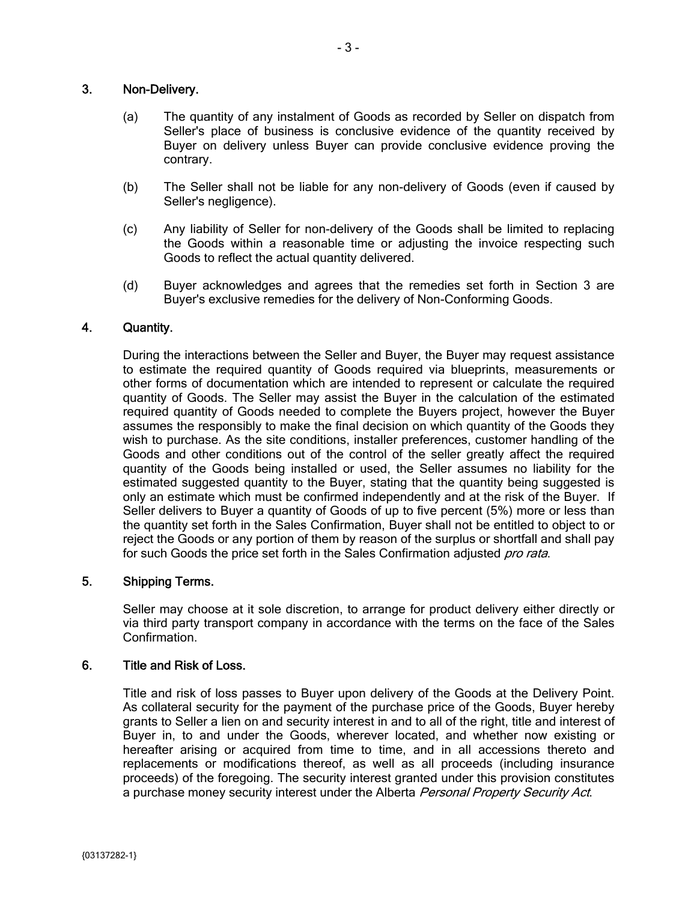## 3. Non-Delivery.

- (a) The quantity of any instalment of Goods as recorded by Seller on dispatch from Seller's place of business is conclusive evidence of the quantity received by Buyer on delivery unless Buyer can provide conclusive evidence proving the contrary.
- (b) The Seller shall not be liable for any non-delivery of Goods (even if caused by Seller's negligence).
- (c) Any liability of Seller for non-delivery of the Goods shall be limited to replacing the Goods within a reasonable time or adjusting the invoice respecting such Goods to reflect the actual quantity delivered.
- (d) Buyer acknowledges and agrees that the remedies set forth in Section 3 are Buyer's exclusive remedies for the delivery of Non-Conforming Goods.

## 4. Quantity.

During the interactions between the Seller and Buyer, the Buyer may request assistance to estimate the required quantity of Goods required via blueprints, measurements or other forms of documentation which are intended to represent or calculate the required quantity of Goods. The Seller may assist the Buyer in the calculation of the estimated required quantity of Goods needed to complete the Buyers project, however the Buyer assumes the responsibly to make the final decision on which quantity of the Goods they wish to purchase. As the site conditions, installer preferences, customer handling of the Goods and other conditions out of the control of the seller greatly affect the required quantity of the Goods being installed or used, the Seller assumes no liability for the estimated suggested quantity to the Buyer, stating that the quantity being suggested is only an estimate which must be confirmed independently and at the risk of the Buyer. If Seller delivers to Buyer a quantity of Goods of up to five percent (5%) more or less than the quantity set forth in the Sales Confirmation, Buyer shall not be entitled to object to or reject the Goods or any portion of them by reason of the surplus or shortfall and shall pay for such Goods the price set forth in the Sales Confirmation adjusted pro rata.

### 5. Shipping Terms.

Seller may choose at it sole discretion, to arrange for product delivery either directly or via third party transport company in accordance with the terms on the face of the Sales Confirmation.

### 6. Title and Risk of Loss.

Title and risk of loss passes to Buyer upon delivery of the Goods at the Delivery Point. As collateral security for the payment of the purchase price of the Goods, Buyer hereby grants to Seller a lien on and security interest in and to all of the right, title and interest of Buyer in, to and under the Goods, wherever located, and whether now existing or hereafter arising or acquired from time to time, and in all accessions thereto and replacements or modifications thereof, as well as all proceeds (including insurance proceeds) of the foregoing. The security interest granted under this provision constitutes a purchase money security interest under the Alberta Personal Property Security Act.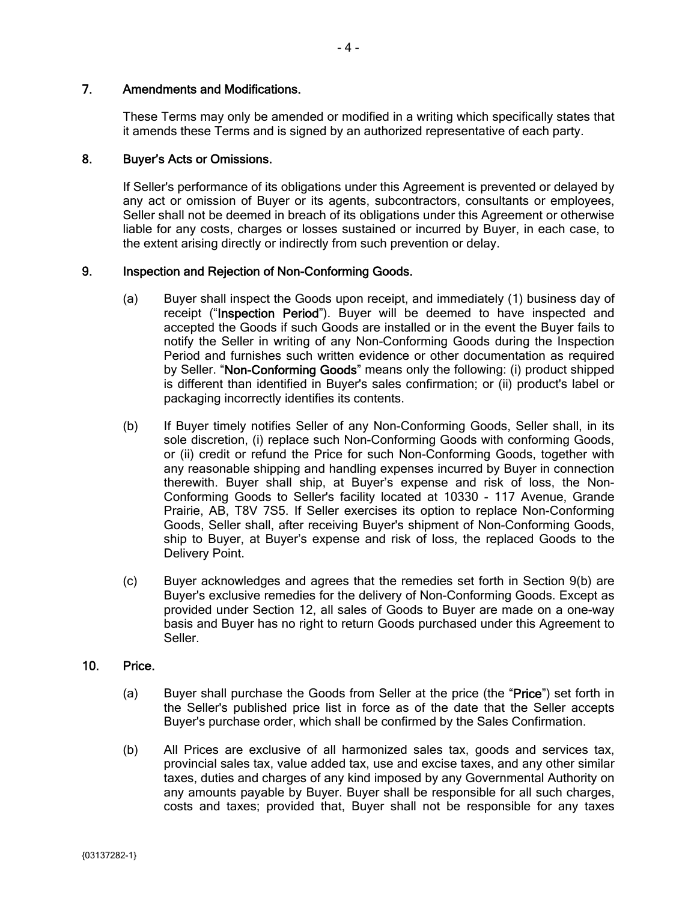## 7. Amendments and Modifications.

These Terms may only be amended or modified in a writing which specifically states that it amends these Terms and is signed by an authorized representative of each party.

## 8. Buyer's Acts or Omissions.

If Seller's performance of its obligations under this Agreement is prevented or delayed by any act or omission of Buyer or its agents, subcontractors, consultants or employees, Seller shall not be deemed in breach of its obligations under this Agreement or otherwise liable for any costs, charges or losses sustained or incurred by Buyer, in each case, to the extent arising directly or indirectly from such prevention or delay.

## 9. Inspection and Rejection of Non-Conforming Goods.

- (a) Buyer shall inspect the Goods upon receipt, and immediately (1) business day of receipt ("Inspection Period"). Buyer will be deemed to have inspected and accepted the Goods if such Goods are installed or in the event the Buyer fails to notify the Seller in writing of any Non-Conforming Goods during the Inspection Period and furnishes such written evidence or other documentation as required by Seller. "Non-Conforming Goods" means only the following: (i) product shipped is different than identified in Buyer's sales confirmation; or (ii) product's label or packaging incorrectly identifies its contents.
- (b) If Buyer timely notifies Seller of any Non-Conforming Goods, Seller shall, in its sole discretion, (i) replace such Non-Conforming Goods with conforming Goods, or (ii) credit or refund the Price for such Non-Conforming Goods, together with any reasonable shipping and handling expenses incurred by Buyer in connection therewith. Buyer shall ship, at Buyer's expense and risk of loss, the Non-Conforming Goods to Seller's facility located at 10330 - 117 Avenue, Grande Prairie, AB, T8V 7S5. If Seller exercises its option to replace Non-Conforming Goods, Seller shall, after receiving Buyer's shipment of Non-Conforming Goods, ship to Buyer, at Buyer's expense and risk of loss, the replaced Goods to the Delivery Point.
- (c) Buyer acknowledges and agrees that the remedies set forth in Section 9(b) are Buyer's exclusive remedies for the delivery of Non-Conforming Goods. Except as provided under Section 12, all sales of Goods to Buyer are made on a one-way basis and Buyer has no right to return Goods purchased under this Agreement to Seller.

# 10. Price.

- (a) Buyer shall purchase the Goods from Seller at the price (the "Price") set forth in the Seller's published price list in force as of the date that the Seller accepts Buyer's purchase order, which shall be confirmed by the Sales Confirmation.
- (b) All Prices are exclusive of all harmonized sales tax, goods and services tax, provincial sales tax, value added tax, use and excise taxes, and any other similar taxes, duties and charges of any kind imposed by any Governmental Authority on any amounts payable by Buyer. Buyer shall be responsible for all such charges, costs and taxes; provided that, Buyer shall not be responsible for any taxes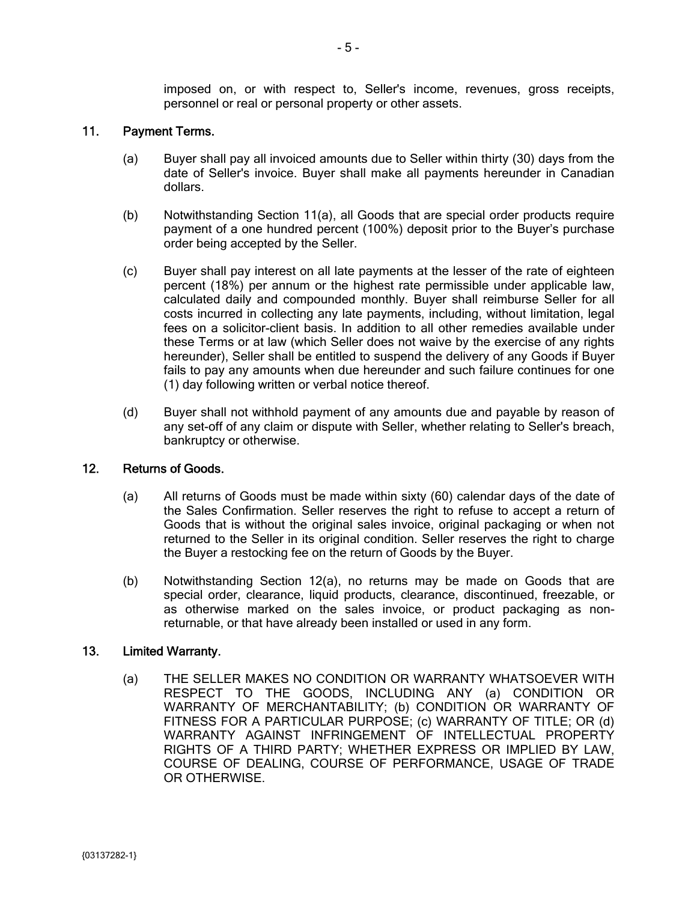imposed on, or with respect to, Seller's income, revenues, gross receipts, personnel or real or personal property or other assets.

### 11. Payment Terms.

- (a) Buyer shall pay all invoiced amounts due to Seller within thirty (30) days from the date of Seller's invoice. Buyer shall make all payments hereunder in Canadian dollars.
- (b) Notwithstanding Section 11(a), all Goods that are special order products require payment of a one hundred percent (100%) deposit prior to the Buyer's purchase order being accepted by the Seller.
- (c) Buyer shall pay interest on all late payments at the lesser of the rate of eighteen percent (18%) per annum or the highest rate permissible under applicable law, calculated daily and compounded monthly. Buyer shall reimburse Seller for all costs incurred in collecting any late payments, including, without limitation, legal fees on a solicitor-client basis. In addition to all other remedies available under these Terms or at law (which Seller does not waive by the exercise of any rights hereunder), Seller shall be entitled to suspend the delivery of any Goods if Buyer fails to pay any amounts when due hereunder and such failure continues for one (1) day following written or verbal notice thereof.
- (d) Buyer shall not withhold payment of any amounts due and payable by reason of any set-off of any claim or dispute with Seller, whether relating to Seller's breach, bankruptcy or otherwise.

# 12. Returns of Goods.

- (a) All returns of Goods must be made within sixty (60) calendar days of the date of the Sales Confirmation. Seller reserves the right to refuse to accept a return of Goods that is without the original sales invoice, original packaging or when not returned to the Seller in its original condition. Seller reserves the right to charge the Buyer a restocking fee on the return of Goods by the Buyer.
- (b) Notwithstanding Section 12(a), no returns may be made on Goods that are special order, clearance, liquid products, clearance, discontinued, freezable, or as otherwise marked on the sales invoice, or product packaging as nonreturnable, or that have already been installed or used in any form.

### 13. Limited Warranty.

(a) THE SELLER MAKES NO CONDITION OR WARRANTY WHATSOEVER WITH RESPECT TO THE GOODS, INCLUDING ANY (a) CONDITION OR WARRANTY OF MERCHANTABILITY; (b) CONDITION OR WARRANTY OF FITNESS FOR A PARTICULAR PURPOSE; (c) WARRANTY OF TITLE; OR (d) WARRANTY AGAINST INFRINGEMENT OF INTELLECTUAL PROPERTY RIGHTS OF A THIRD PARTY; WHETHER EXPRESS OR IMPLIED BY LAW, COURSE OF DEALING, COURSE OF PERFORMANCE, USAGE OF TRADE OR OTHERWISE.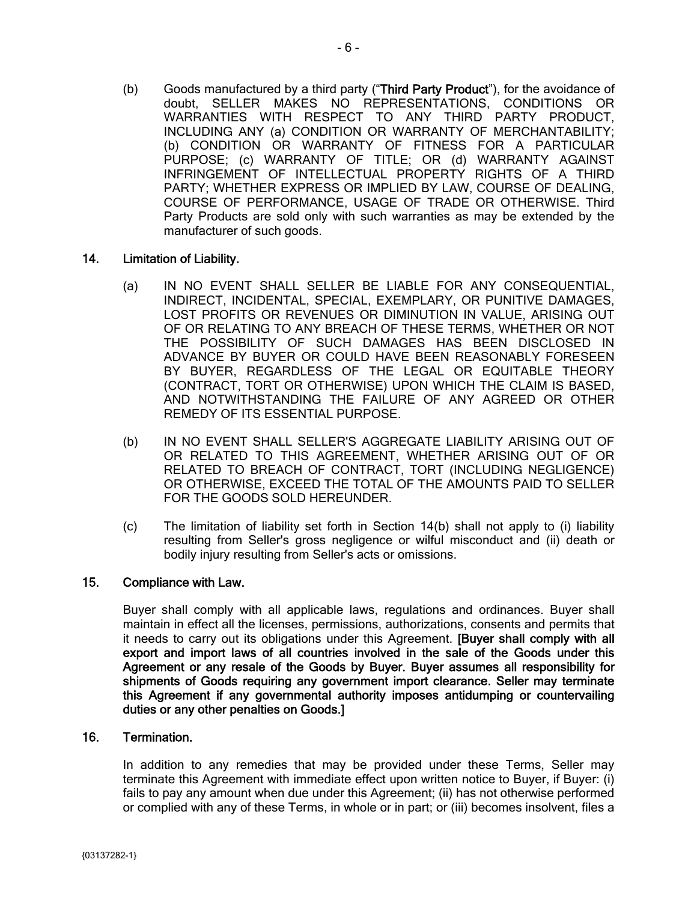(b) Goods manufactured by a third party ("Third Party Product"), for the avoidance of doubt, SELLER MAKES NO REPRESENTATIONS, CONDITIONS OR WARRANTIES WITH RESPECT TO ANY THIRD PARTY PRODUCT, INCLUDING ANY (a) CONDITION OR WARRANTY OF MERCHANTABILITY; (b) CONDITION OR WARRANTY OF FITNESS FOR A PARTICULAR PURPOSE; (c) WARRANTY OF TITLE; OR (d) WARRANTY AGAINST INFRINGEMENT OF INTELLECTUAL PROPERTY RIGHTS OF A THIRD PARTY; WHETHER EXPRESS OR IMPLIED BY LAW, COURSE OF DEALING, COURSE OF PERFORMANCE, USAGE OF TRADE OR OTHERWISE. Third Party Products are sold only with such warranties as may be extended by the manufacturer of such goods.

## 14. Limitation of Liability.

- (a) IN NO EVENT SHALL SELLER BE LIABLE FOR ANY CONSEQUENTIAL, INDIRECT, INCIDENTAL, SPECIAL, EXEMPLARY, OR PUNITIVE DAMAGES, LOST PROFITS OR REVENUES OR DIMINUTION IN VALUE, ARISING OUT OF OR RELATING TO ANY BREACH OF THESE TERMS, WHETHER OR NOT THE POSSIBILITY OF SUCH DAMAGES HAS BEEN DISCLOSED IN ADVANCE BY BUYER OR COULD HAVE BEEN REASONABLY FORESEEN BY BUYER, REGARDLESS OF THE LEGAL OR EQUITABLE THEORY (CONTRACT, TORT OR OTHERWISE) UPON WHICH THE CLAIM IS BASED, AND NOTWITHSTANDING THE FAILURE OF ANY AGREED OR OTHER REMEDY OF ITS ESSENTIAL PURPOSE.
- (b) IN NO EVENT SHALL SELLER'S AGGREGATE LIABILITY ARISING OUT OF OR RELATED TO THIS AGREEMENT, WHETHER ARISING OUT OF OR RELATED TO BREACH OF CONTRACT, TORT (INCLUDING NEGLIGENCE) OR OTHERWISE, EXCEED THE TOTAL OF THE AMOUNTS PAID TO SELLER FOR THE GOODS SOLD HEREUNDER.
- (c) The limitation of liability set forth in Section 14(b) shall not apply to (i) liability resulting from Seller's gross negligence or wilful misconduct and (ii) death or bodily injury resulting from Seller's acts or omissions.

# 15. Compliance with Law.

Buyer shall comply with all applicable laws, regulations and ordinances. Buyer shall maintain in effect all the licenses, permissions, authorizations, consents and permits that it needs to carry out its obligations under this Agreement. [Buyer shall comply with all export and import laws of all countries involved in the sale of the Goods under this Agreement or any resale of the Goods by Buyer. Buyer assumes all responsibility for shipments of Goods requiring any government import clearance. Seller may terminate this Agreement if any governmental authority imposes antidumping or countervailing duties or any other penalties on Goods.]

### 16. Termination.

In addition to any remedies that may be provided under these Terms, Seller may terminate this Agreement with immediate effect upon written notice to Buyer, if Buyer: (i) fails to pay any amount when due under this Agreement; (ii) has not otherwise performed or complied with any of these Terms, in whole or in part; or (iii) becomes insolvent, files a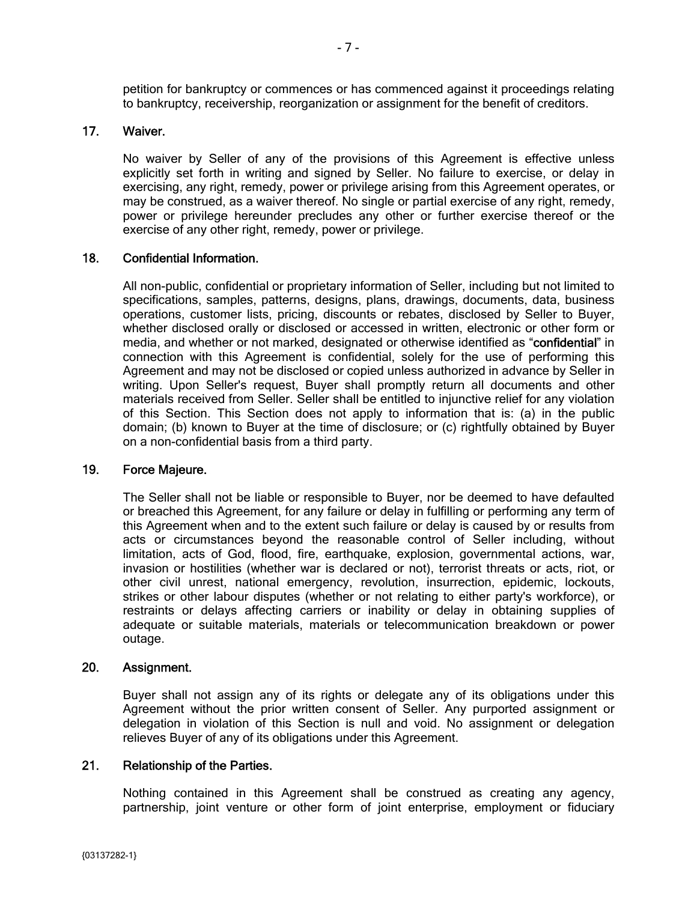petition for bankruptcy or commences or has commenced against it proceedings relating to bankruptcy, receivership, reorganization or assignment for the benefit of creditors.

# 17. Waiver.

No waiver by Seller of any of the provisions of this Agreement is effective unless explicitly set forth in writing and signed by Seller. No failure to exercise, or delay in exercising, any right, remedy, power or privilege arising from this Agreement operates, or may be construed, as a waiver thereof. No single or partial exercise of any right, remedy, power or privilege hereunder precludes any other or further exercise thereof or the exercise of any other right, remedy, power or privilege.

## 18. Confidential Information.

All non-public, confidential or proprietary information of Seller, including but not limited to specifications, samples, patterns, designs, plans, drawings, documents, data, business operations, customer lists, pricing, discounts or rebates, disclosed by Seller to Buyer, whether disclosed orally or disclosed or accessed in written, electronic or other form or media, and whether or not marked, designated or otherwise identified as "confidential" in connection with this Agreement is confidential, solely for the use of performing this Agreement and may not be disclosed or copied unless authorized in advance by Seller in writing. Upon Seller's request, Buyer shall promptly return all documents and other materials received from Seller. Seller shall be entitled to injunctive relief for any violation of this Section. This Section does not apply to information that is: (a) in the public domain; (b) known to Buyer at the time of disclosure; or (c) rightfully obtained by Buyer on a non-confidential basis from a third party.

### 19. Force Majeure.

The Seller shall not be liable or responsible to Buyer, nor be deemed to have defaulted or breached this Agreement, for any failure or delay in fulfilling or performing any term of this Agreement when and to the extent such failure or delay is caused by or results from acts or circumstances beyond the reasonable control of Seller including, without limitation, acts of God, flood, fire, earthquake, explosion, governmental actions, war, invasion or hostilities (whether war is declared or not), terrorist threats or acts, riot, or other civil unrest, national emergency, revolution, insurrection, epidemic, lockouts, strikes or other labour disputes (whether or not relating to either party's workforce), or restraints or delays affecting carriers or inability or delay in obtaining supplies of adequate or suitable materials, materials or telecommunication breakdown or power outage.

### 20. Assignment.

Buyer shall not assign any of its rights or delegate any of its obligations under this Agreement without the prior written consent of Seller. Any purported assignment or delegation in violation of this Section is null and void. No assignment or delegation relieves Buyer of any of its obligations under this Agreement.

### 21. Relationship of the Parties.

Nothing contained in this Agreement shall be construed as creating any agency, partnership, joint venture or other form of joint enterprise, employment or fiduciary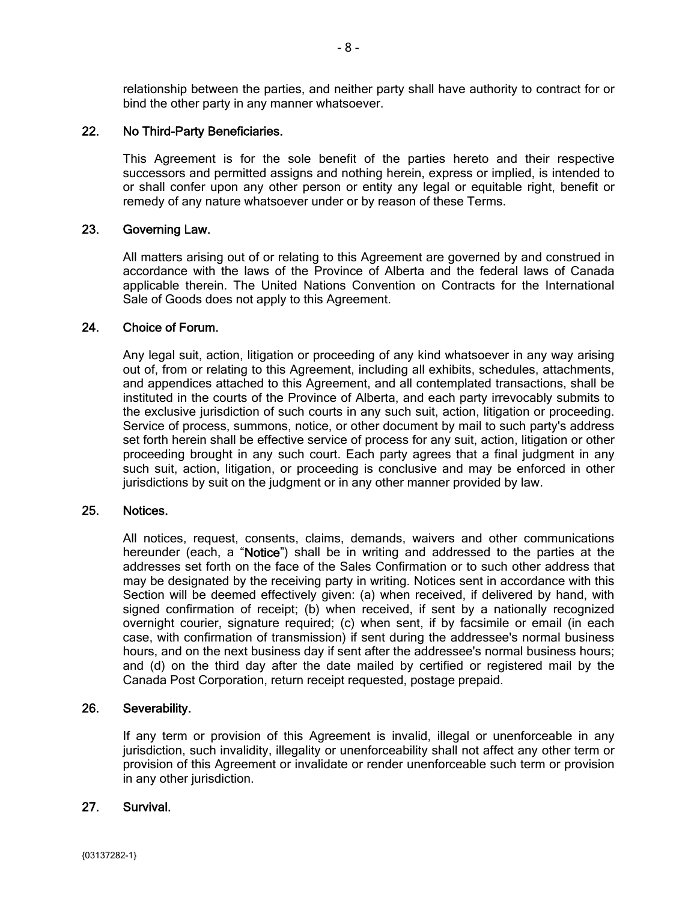relationship between the parties, and neither party shall have authority to contract for or bind the other party in any manner whatsoever.

## 22. No Third-Party Beneficiaries.

This Agreement is for the sole benefit of the parties hereto and their respective successors and permitted assigns and nothing herein, express or implied, is intended to or shall confer upon any other person or entity any legal or equitable right, benefit or remedy of any nature whatsoever under or by reason of these Terms.

### 23. Governing Law.

All matters arising out of or relating to this Agreement are governed by and construed in accordance with the laws of the Province of Alberta and the federal laws of Canada applicable therein. The United Nations Convention on Contracts for the International Sale of Goods does not apply to this Agreement.

### 24. Choice of Forum.

Any legal suit, action, litigation or proceeding of any kind whatsoever in any way arising out of, from or relating to this Agreement, including all exhibits, schedules, attachments, and appendices attached to this Agreement, and all contemplated transactions, shall be instituted in the courts of the Province of Alberta, and each party irrevocably submits to the exclusive jurisdiction of such courts in any such suit, action, litigation or proceeding. Service of process, summons, notice, or other document by mail to such party's address set forth herein shall be effective service of process for any suit, action, litigation or other proceeding brought in any such court. Each party agrees that a final judgment in any such suit, action, litigation, or proceeding is conclusive and may be enforced in other jurisdictions by suit on the judgment or in any other manner provided by law.

### 25. Notices.

All notices, request, consents, claims, demands, waivers and other communications hereunder (each, a "Notice") shall be in writing and addressed to the parties at the addresses set forth on the face of the Sales Confirmation or to such other address that may be designated by the receiving party in writing. Notices sent in accordance with this Section will be deemed effectively given: (a) when received, if delivered by hand, with signed confirmation of receipt; (b) when received, if sent by a nationally recognized overnight courier, signature required; (c) when sent, if by facsimile or email (in each case, with confirmation of transmission) if sent during the addressee's normal business hours, and on the next business day if sent after the addressee's normal business hours; and (d) on the third day after the date mailed by certified or registered mail by the Canada Post Corporation, return receipt requested, postage prepaid.

### 26. Severability.

If any term or provision of this Agreement is invalid, illegal or unenforceable in any jurisdiction, such invalidity, illegality or unenforceability shall not affect any other term or provision of this Agreement or invalidate or render unenforceable such term or provision in any other jurisdiction.

### 27. Survival.